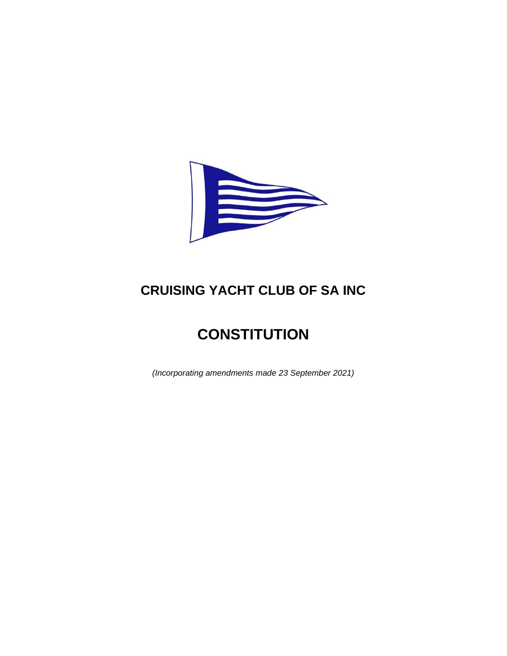

# **CRUISING YACHT CLUB OF SA INC**

# **CONSTITUTION**

*(Incorporating amendments made 23 September 2021)*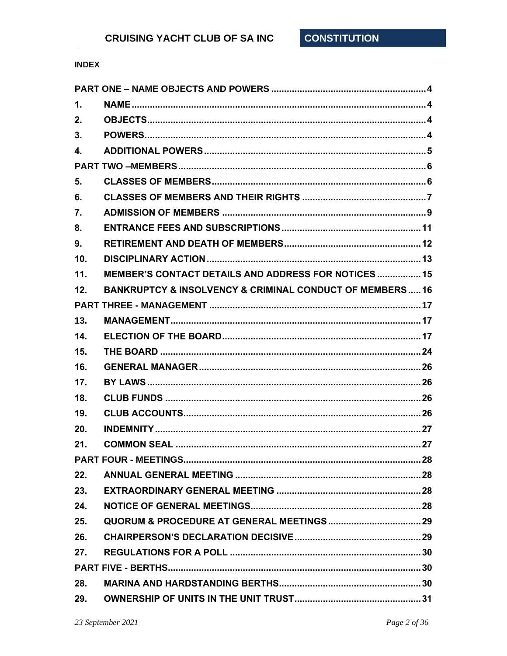# **INDEX**

| $\mathbf 1$ . |                                                                        |  |  |
|---------------|------------------------------------------------------------------------|--|--|
| 2.            |                                                                        |  |  |
| 3.            |                                                                        |  |  |
| 4.            |                                                                        |  |  |
|               |                                                                        |  |  |
| 5.            |                                                                        |  |  |
| 6.            |                                                                        |  |  |
| 7.            |                                                                        |  |  |
| 8.            |                                                                        |  |  |
| 9.            |                                                                        |  |  |
| 10.           |                                                                        |  |  |
| 11.           | MEMBER'S CONTACT DETAILS AND ADDRESS FOR NOTICES 15                    |  |  |
| 12.           | <b>BANKRUPTCY &amp; INSOLVENCY &amp; CRIMINAL CONDUCT OF MEMBERS16</b> |  |  |
|               |                                                                        |  |  |
| 13.           |                                                                        |  |  |
| 14.           |                                                                        |  |  |
| 15.           |                                                                        |  |  |
| 16.           |                                                                        |  |  |
| 17.           |                                                                        |  |  |
| 18.           |                                                                        |  |  |
| 19.           |                                                                        |  |  |
| 20.           |                                                                        |  |  |
| 21.           |                                                                        |  |  |
|               |                                                                        |  |  |
| 22.           |                                                                        |  |  |
| 23.           |                                                                        |  |  |
| 24.           |                                                                        |  |  |
| 25.           |                                                                        |  |  |
| 26.           |                                                                        |  |  |
| 27.           |                                                                        |  |  |
|               |                                                                        |  |  |
| 28.           |                                                                        |  |  |
| 29.           |                                                                        |  |  |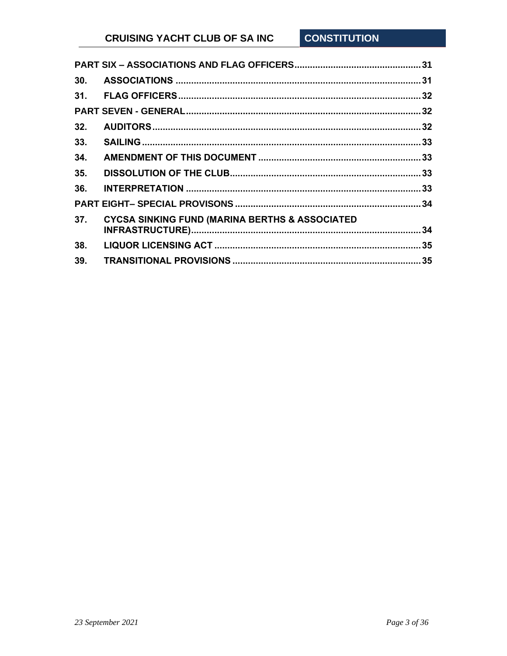| 30. |                                                           |  |
|-----|-----------------------------------------------------------|--|
| 31. |                                                           |  |
|     |                                                           |  |
| 32. |                                                           |  |
| 33. |                                                           |  |
| 34. |                                                           |  |
| 35. |                                                           |  |
| 36. |                                                           |  |
|     |                                                           |  |
| 37. | <b>CYCSA SINKING FUND (MARINA BERTHS &amp; ASSOCIATED</b> |  |
|     |                                                           |  |
| 38. |                                                           |  |
| 39. |                                                           |  |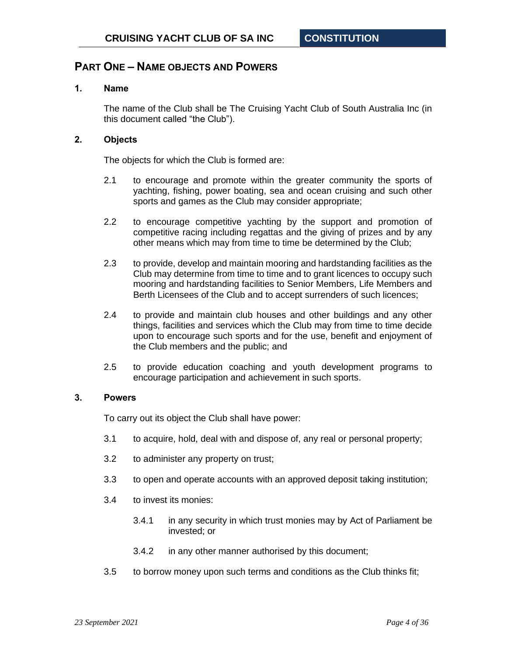## <span id="page-3-0"></span>**PART ONE – NAME OBJECTS AND POWERS**

## <span id="page-3-1"></span>**1. Name**

The name of the Club shall be The Cruising Yacht Club of South Australia Inc (in this document called "the Club").

#### <span id="page-3-2"></span>**2. Objects**

The objects for which the Club is formed are:

- 2.1 to encourage and promote within the greater community the sports of yachting, fishing, power boating, sea and ocean cruising and such other sports and games as the Club may consider appropriate;
- 2.2 to encourage competitive yachting by the support and promotion of competitive racing including regattas and the giving of prizes and by any other means which may from time to time be determined by the Club;
- 2.3 to provide, develop and maintain mooring and hardstanding facilities as the Club may determine from time to time and to grant licences to occupy such mooring and hardstanding facilities to Senior Members, Life Members and Berth Licensees of the Club and to accept surrenders of such licences;
- 2.4 to provide and maintain club houses and other buildings and any other things, facilities and services which the Club may from time to time decide upon to encourage such sports and for the use, benefit and enjoyment of the Club members and the public; and
- 2.5 to provide education coaching and youth development programs to encourage participation and achievement in such sports.

## <span id="page-3-3"></span>**3. Powers**

To carry out its object the Club shall have power:

- 3.1 to acquire, hold, deal with and dispose of, any real or personal property;
- 3.2 to administer any property on trust;
- 3.3 to open and operate accounts with an approved deposit taking institution;
- 3.4 to invest its monies:
	- 3.4.1 in any security in which trust monies may by Act of Parliament be invested; or
	- 3.4.2 in any other manner authorised by this document;
- 3.5 to borrow money upon such terms and conditions as the Club thinks fit;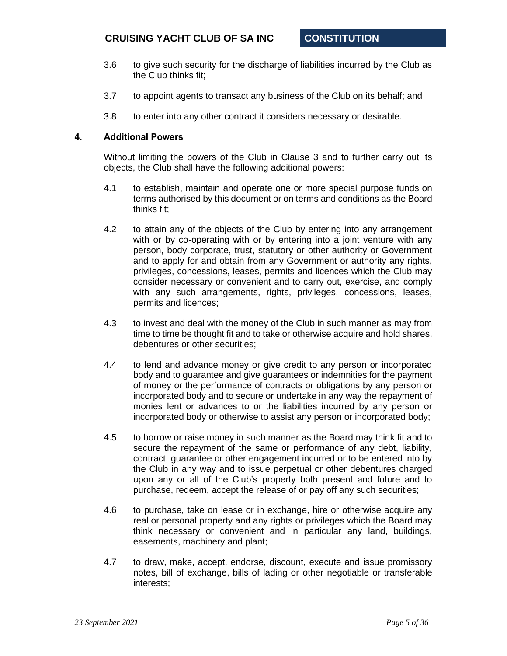- 3.6 to give such security for the discharge of liabilities incurred by the Club as the Club thinks fit;
- 3.7 to appoint agents to transact any business of the Club on its behalf; and
- 3.8 to enter into any other contract it considers necessary or desirable.

#### <span id="page-4-0"></span>**4. Additional Powers**

Without limiting the powers of the Club in Clause [3](#page-3-3) and to further carry out its objects, the Club shall have the following additional powers:

- 4.1 to establish, maintain and operate one or more special purpose funds on terms authorised by this document or on terms and conditions as the Board thinks fit;
- 4.2 to attain any of the objects of the Club by entering into any arrangement with or by co-operating with or by entering into a joint venture with any person, body corporate, trust, statutory or other authority or Government and to apply for and obtain from any Government or authority any rights, privileges, concessions, leases, permits and licences which the Club may consider necessary or convenient and to carry out, exercise, and comply with any such arrangements, rights, privileges, concessions, leases, permits and licences;
- 4.3 to invest and deal with the money of the Club in such manner as may from time to time be thought fit and to take or otherwise acquire and hold shares, debentures or other securities;
- 4.4 to lend and advance money or give credit to any person or incorporated body and to guarantee and give guarantees or indemnities for the payment of money or the performance of contracts or obligations by any person or incorporated body and to secure or undertake in any way the repayment of monies lent or advances to or the liabilities incurred by any person or incorporated body or otherwise to assist any person or incorporated body;
- 4.5 to borrow or raise money in such manner as the Board may think fit and to secure the repayment of the same or performance of any debt, liability, contract, guarantee or other engagement incurred or to be entered into by the Club in any way and to issue perpetual or other debentures charged upon any or all of the Club's property both present and future and to purchase, redeem, accept the release of or pay off any such securities;
- 4.6 to purchase, take on lease or in exchange, hire or otherwise acquire any real or personal property and any rights or privileges which the Board may think necessary or convenient and in particular any land, buildings, easements, machinery and plant;
- 4.7 to draw, make, accept, endorse, discount, execute and issue promissory notes, bill of exchange, bills of lading or other negotiable or transferable interests;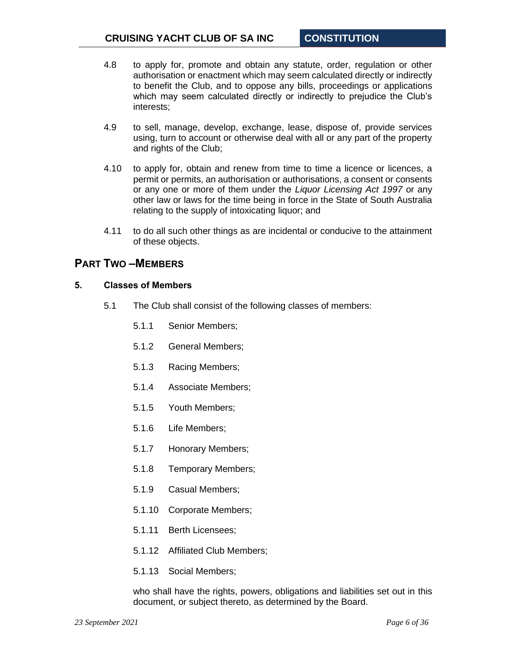- 4.8 to apply for, promote and obtain any statute, order, regulation or other authorisation or enactment which may seem calculated directly or indirectly to benefit the Club, and to oppose any bills, proceedings or applications which may seem calculated directly or indirectly to prejudice the Club's interests;
- 4.9 to sell, manage, develop, exchange, lease, dispose of, provide services using, turn to account or otherwise deal with all or any part of the property and rights of the Club;
- 4.10 to apply for, obtain and renew from time to time a licence or licences, a permit or permits, an authorisation or authorisations, a consent or consents or any one or more of them under the *Liquor Licensing Act 1997* or any other law or laws for the time being in force in the State of South Australia relating to the supply of intoxicating liquor; and
- 4.11 to do all such other things as are incidental or conducive to the attainment of these objects.

# <span id="page-5-0"></span>**PART TWO –MEMBERS**

## <span id="page-5-1"></span>**5. Classes of Members**

- 5.1 The Club shall consist of the following classes of members:
	- 5.1.1 Senior Members;
	- 5.1.2 General Members;
	- 5.1.3 Racing Members;
	- 5.1.4 Associate Members;
	- 5.1.5 Youth Members;
	- 5.1.6 Life Members;
	- 5.1.7 Honorary Members;
	- 5.1.8 Temporary Members;
	- 5.1.9 Casual Members;
	- 5.1.10 Corporate Members;
	- 5.1.11 Berth Licensees;
	- 5.1.12 Affiliated Club Members;
	- 5.1.13 Social Members;

who shall have the rights, powers, obligations and liabilities set out in this document, or subject thereto, as determined by the Board.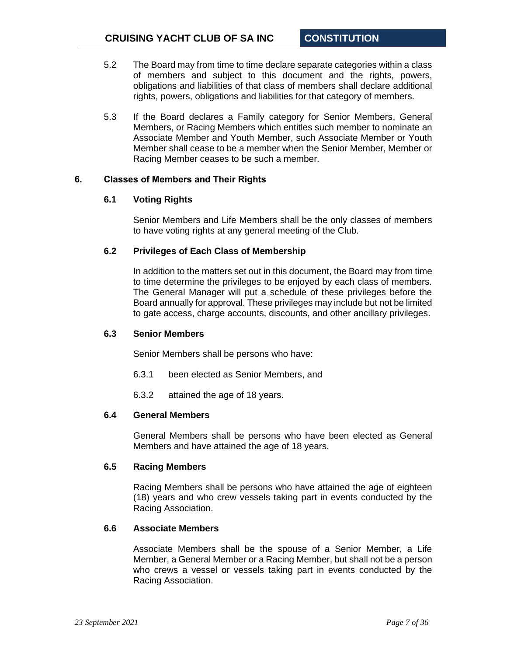- 5.2 The Board may from time to time declare separate categories within a class of members and subject to this document and the rights, powers, obligations and liabilities of that class of members shall declare additional rights, powers, obligations and liabilities for that category of members.
- 5.3 If the Board declares a Family category for Senior Members, General Members, or Racing Members which entitles such member to nominate an Associate Member and Youth Member, such Associate Member or Youth Member shall cease to be a member when the Senior Member, Member or Racing Member ceases to be such a member.

## <span id="page-6-0"></span>**6. Classes of Members and Their Rights**

#### **6.1 Voting Rights**

Senior Members and Life Members shall be the only classes of members to have voting rights at any general meeting of the Club.

## **6.2 Privileges of Each Class of Membership**

In addition to the matters set out in this document, the Board may from time to time determine the privileges to be enjoyed by each class of members. The General Manager will put a schedule of these privileges before the Board annually for approval. These privileges may include but not be limited to gate access, charge accounts, discounts, and other ancillary privileges.

#### <span id="page-6-1"></span>**6.3 Senior Members**

Senior Members shall be persons who have:

- 6.3.1 been elected as Senior Members, and
- 6.3.2 attained the age of 18 years.

#### **6.4 General Members**

General Members shall be persons who have been elected as General Members and have attained the age of 18 years.

#### **6.5 Racing Members**

Racing Members shall be persons who have attained the age of eighteen (18) years and who crew vessels taking part in events conducted by the Racing Association.

## **6.6 Associate Members**

Associate Members shall be the spouse of a Senior Member, a Life Member, a General Member or a Racing Member, but shall not be a person who crews a vessel or vessels taking part in events conducted by the Racing Association.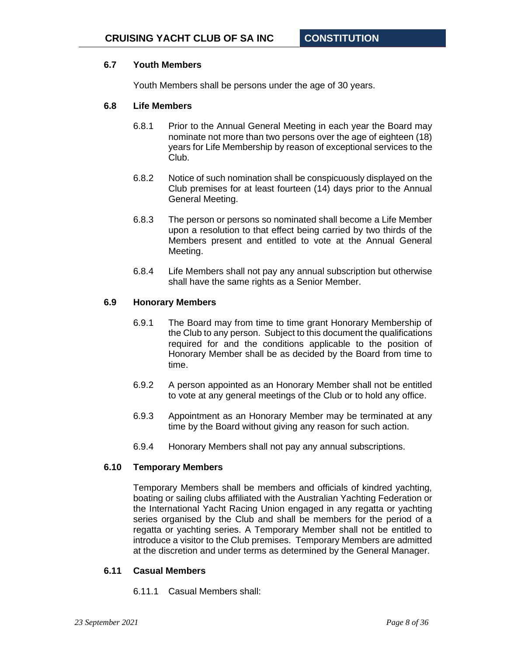## **6.7 Youth Members**

Youth Members shall be persons under the age of 30 years.

#### **6.8 Life Members**

- 6.8.1 Prior to the Annual General Meeting in each year the Board may nominate not more than two persons over the age of eighteen (18) years for Life Membership by reason of exceptional services to the Club.
- 6.8.2 Notice of such nomination shall be conspicuously displayed on the Club premises for at least fourteen (14) days prior to the Annual General Meeting.
- 6.8.3 The person or persons so nominated shall become a Life Member upon a resolution to that effect being carried by two thirds of the Members present and entitled to vote at the Annual General Meeting.
- 6.8.4 Life Members shall not pay any annual subscription but otherwise shall have the same rights as a Senior Member.

#### **6.9 Honorary Members**

- 6.9.1 The Board may from time to time grant Honorary Membership of the Club to any person. Subject to this document the qualifications required for and the conditions applicable to the position of Honorary Member shall be as decided by the Board from time to time.
- 6.9.2 A person appointed as an Honorary Member shall not be entitled to vote at any general meetings of the Club or to hold any office.
- 6.9.3 Appointment as an Honorary Member may be terminated at any time by the Board without giving any reason for such action.
- 6.9.4 Honorary Members shall not pay any annual subscriptions.

#### **6.10 Temporary Members**

Temporary Members shall be members and officials of kindred yachting, boating or sailing clubs affiliated with the Australian Yachting Federation or the International Yacht Racing Union engaged in any regatta or yachting series organised by the Club and shall be members for the period of a regatta or yachting series. A Temporary Member shall not be entitled to introduce a visitor to the Club premises. Temporary Members are admitted at the discretion and under terms as determined by the General Manager.

#### **6.11 Casual Members**

6.11.1 Casual Members shall: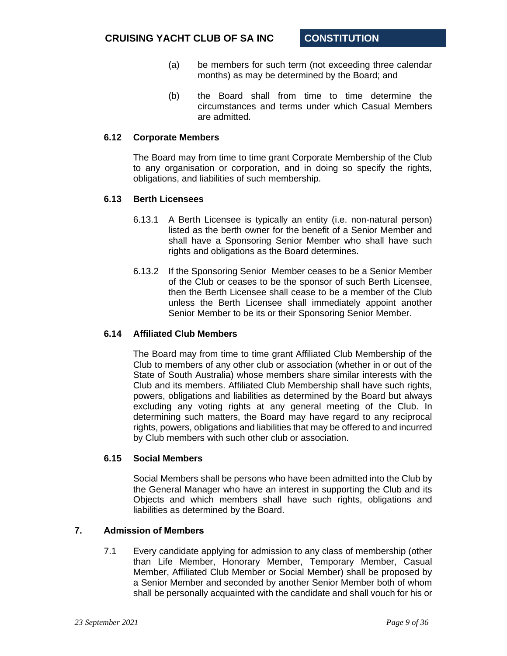- (a) be members for such term (not exceeding three calendar months) as may be determined by the Board; and
- (b) the Board shall from time to time determine the circumstances and terms under which Casual Members are admitted.

#### **6.12 Corporate Members**

The Board may from time to time grant Corporate Membership of the Club to any organisation or corporation, and in doing so specify the rights, obligations, and liabilities of such membership.

## **6.13 Berth Licensees**

- 6.13.1 A Berth Licensee is typically an entity (i.e. non-natural person) listed as the berth owner for the benefit of a Senior Member and shall have a Sponsoring Senior Member who shall have such rights and obligations as the Board determines.
- 6.13.2 If the Sponsoring Senior Member ceases to be a Senior Member of the Club or ceases to be the sponsor of such Berth Licensee, then the Berth Licensee shall cease to be a member of the Club unless the Berth Licensee shall immediately appoint another Senior Member to be its or their Sponsoring Senior Member.

#### **6.14 Affiliated Club Members**

The Board may from time to time grant Affiliated Club Membership of the Club to members of any other club or association (whether in or out of the State of South Australia) whose members share similar interests with the Club and its members. Affiliated Club Membership shall have such rights, powers, obligations and liabilities as determined by the Board but always excluding any voting rights at any general meeting of the Club. In determining such matters, the Board may have regard to any reciprocal rights, powers, obligations and liabilities that may be offered to and incurred by Club members with such other club or association.

## **6.15 Social Members**

Social Members shall be persons who have been admitted into the Club by the General Manager who have an interest in supporting the Club and its Objects and which members shall have such rights, obligations and liabilities as determined by the Board.

## <span id="page-8-0"></span>**7. Admission of Members**

7.1 Every candidate applying for admission to any class of membership (other than Life Member, Honorary Member, Temporary Member, Casual Member, Affiliated Club Member or Social Member) shall be proposed by a Senior Member and seconded by another Senior Member both of whom shall be personally acquainted with the candidate and shall vouch for his or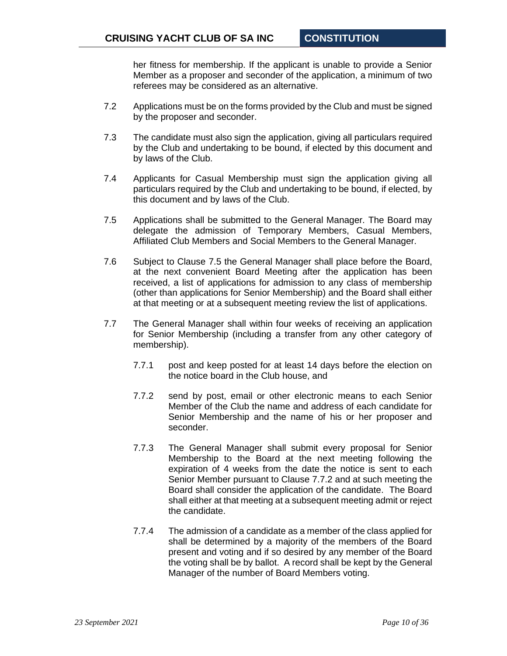her fitness for membership. If the applicant is unable to provide a Senior Member as a proposer and seconder of the application, a minimum of two referees may be considered as an alternative.

- 7.2 Applications must be on the forms provided by the Club and must be signed by the proposer and seconder.
- 7.3 The candidate must also sign the application, giving all particulars required by the Club and undertaking to be bound, if elected by this document and by laws of the Club.
- 7.4 Applicants for Casual Membership must sign the application giving all particulars required by the Club and undertaking to be bound, if elected, by this document and by laws of the Club.
- <span id="page-9-0"></span>7.5 Applications shall be submitted to the General Manager. The Board may delegate the admission of Temporary Members, Casual Members, Affiliated Club Members and Social Members to the General Manager.
- 7.6 Subject to Clause [7.5](#page-9-0) the General Manager shall place before the Board, at the next convenient Board Meeting after the application has been received, a list of applications for admission to any class of membership (other than applications for Senior Membership) and the Board shall either at that meeting or at a subsequent meeting review the list of applications.
- <span id="page-9-1"></span>7.7 The General Manager shall within four weeks of receiving an application for Senior Membership (including a transfer from any other category of membership).
	- 7.7.1 post and keep posted for at least 14 days before the election on the notice board in the Club house, and
	- 7.7.2 send by post, email or other electronic means to each Senior Member of the Club the name and address of each candidate for Senior Membership and the name of his or her proposer and seconder.
	- 7.7.3 The General Manager shall submit every proposal for Senior Membership to the Board at the next meeting following the expiration of 4 weeks from the date the notice is sent to each Senior Member pursuant to Clause [7.7.2](#page-9-1) and at such meeting the Board shall consider the application of the candidate. The Board shall either at that meeting at a subsequent meeting admit or reject the candidate.
	- 7.7.4 The admission of a candidate as a member of the class applied for shall be determined by a majority of the members of the Board present and voting and if so desired by any member of the Board the voting shall be by ballot. A record shall be kept by the General Manager of the number of Board Members voting.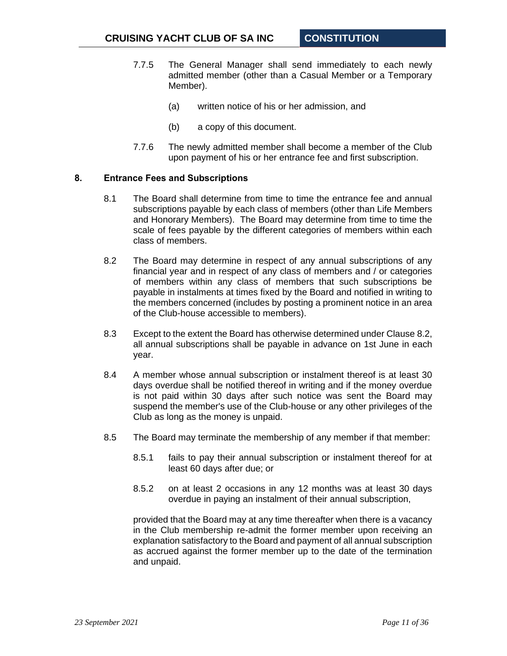- 7.7.5 The General Manager shall send immediately to each newly admitted member (other than a Casual Member or a Temporary Member).
	- (a) written notice of his or her admission, and
	- (b) a copy of this document.
- 7.7.6 The newly admitted member shall become a member of the Club upon payment of his or her entrance fee and first subscription.

## <span id="page-10-0"></span>**8. Entrance Fees and Subscriptions**

- 8.1 The Board shall determine from time to time the entrance fee and annual subscriptions payable by each class of members (other than Life Members and Honorary Members). The Board may determine from time to time the scale of fees payable by the different categories of members within each class of members.
- <span id="page-10-1"></span>8.2 The Board may determine in respect of any annual subscriptions of any financial year and in respect of any class of members and / or categories of members within any class of members that such subscriptions be payable in instalments at times fixed by the Board and notified in writing to the members concerned (includes by posting a prominent notice in an area of the Club-house accessible to members).
- 8.3 Except to the extent the Board has otherwise determined under Clause [8.2,](#page-10-1) all annual subscriptions shall be payable in advance on 1st June in each year.
- 8.4 A member whose annual subscription or instalment thereof is at least 30 days overdue shall be notified thereof in writing and if the money overdue is not paid within 30 days after such notice was sent the Board may suspend the member's use of the Club-house or any other privileges of the Club as long as the money is unpaid.
- 8.5 The Board may terminate the membership of any member if that member:
	- 8.5.1 fails to pay their annual subscription or instalment thereof for at least 60 days after due; or
	- 8.5.2 on at least 2 occasions in any 12 months was at least 30 days overdue in paying an instalment of their annual subscription,

provided that the Board may at any time thereafter when there is a vacancy in the Club membership re-admit the former member upon receiving an explanation satisfactory to the Board and payment of all annual subscription as accrued against the former member up to the date of the termination and unpaid.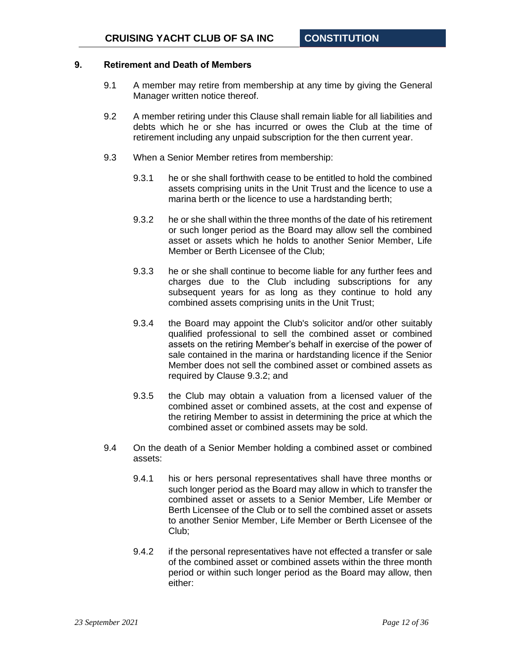## <span id="page-11-0"></span>**9. Retirement and Death of Members**

- 9.1 A member may retire from membership at any time by giving the General Manager written notice thereof.
- 9.2 A member retiring under this Clause shall remain liable for all liabilities and debts which he or she has incurred or owes the Club at the time of retirement including any unpaid subscription for the then current year.
- <span id="page-11-2"></span><span id="page-11-1"></span>9.3 When a Senior Member retires from membership:
	- 9.3.1 he or she shall forthwith cease to be entitled to hold the combined assets comprising units in the Unit Trust and the licence to use a marina berth or the licence to use a hardstanding berth;
	- 9.3.2 he or she shall within the three months of the date of his retirement or such longer period as the Board may allow sell the combined asset or assets which he holds to another Senior Member, Life Member or Berth Licensee of the Club;
	- 9.3.3 he or she shall continue to become liable for any further fees and charges due to the Club including subscriptions for any subsequent years for as long as they continue to hold any combined assets comprising units in the Unit Trust;
	- 9.3.4 the Board may appoint the Club's solicitor and/or other suitably qualified professional to sell the combined asset or combined assets on the retiring Member's behalf in exercise of the power of sale contained in the marina or hardstanding licence if the Senior Member does not sell the combined asset or combined assets as required by Clause [9.3.2;](#page-11-1) and
	- 9.3.5 the Club may obtain a valuation from a licensed valuer of the combined asset or combined assets, at the cost and expense of the retiring Member to assist in determining the price at which the combined asset or combined assets may be sold.
- <span id="page-11-3"></span>9.4 On the death of a Senior Member holding a combined asset or combined assets:
	- 9.4.1 his or hers personal representatives shall have three months or such longer period as the Board may allow in which to transfer the combined asset or assets to a Senior Member, Life Member or Berth Licensee of the Club or to sell the combined asset or assets to another Senior Member, Life Member or Berth Licensee of the Club;
	- 9.4.2 if the personal representatives have not effected a transfer or sale of the combined asset or combined assets within the three month period or within such longer period as the Board may allow, then either: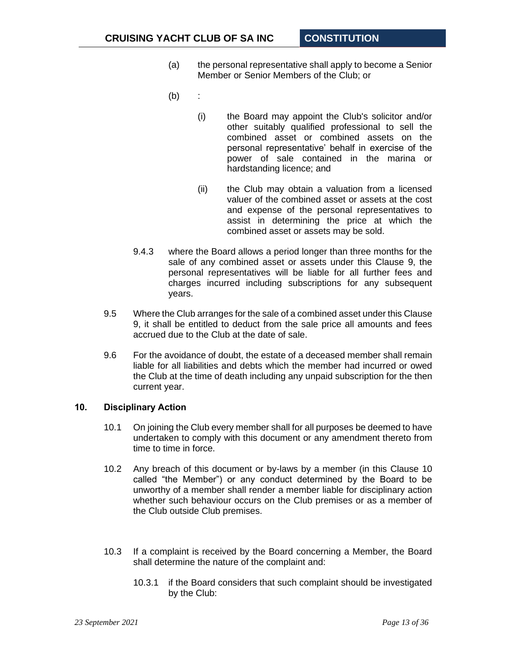- (a) the personal representative shall apply to become a Senior Member or Senior Members of the Club; or
- (b) :
	- (i) the Board may appoint the Club's solicitor and/or other suitably qualified professional to sell the combined asset or combined assets on the personal representative' behalf in exercise of the power of sale contained in the marina or hardstanding licence; and
	- (ii) the Club may obtain a valuation from a licensed valuer of the combined asset or assets at the cost and expense of the personal representatives to assist in determining the price at which the combined asset or assets may be sold.
- 9.4.3 where the Board allows a period longer than three months for the sale of any combined asset or assets under this Clause [9,](#page-11-0) the personal representatives will be liable for all further fees and charges incurred including subscriptions for any subsequent years.
- 9.5 Where the Club arranges for the sale of a combined asset under this Clause [9,](#page-11-0) it shall be entitled to deduct from the sale price all amounts and fees accrued due to the Club at the date of sale.
- 9.6 For the avoidance of doubt, the estate of a deceased member shall remain liable for all liabilities and debts which the member had incurred or owed the Club at the time of death including any unpaid subscription for the then current year.

## <span id="page-12-0"></span>**10. Disciplinary Action**

- 10.1 On joining the Club every member shall for all purposes be deemed to have undertaken to comply with this document or any amendment thereto from time to time in force.
- 10.2 Any breach of this document or by-laws by a member (in this Clause [10](#page-12-0) called "the Member") or any conduct determined by the Board to be unworthy of a member shall render a member liable for disciplinary action whether such behaviour occurs on the Club premises or as a member of the Club outside Club premises.
- 10.3 If a complaint is received by the Board concerning a Member, the Board shall determine the nature of the complaint and:
	- 10.3.1 if the Board considers that such complaint should be investigated by the Club: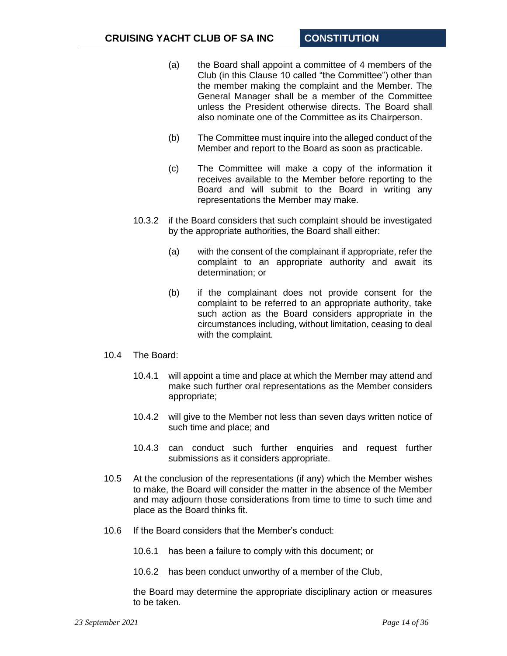- (a) the Board shall appoint a committee of 4 members of the Club (in this Clause 10 called "the Committee") other than the member making the complaint and the Member. The General Manager shall be a member of the Committee unless the President otherwise directs. The Board shall also nominate one of the Committee as its Chairperson.
- (b) The Committee must inquire into the alleged conduct of the Member and report to the Board as soon as practicable.
- (c) The Committee will make a copy of the information it receives available to the Member before reporting to the Board and will submit to the Board in writing any representations the Member may make.
- 10.3.2 if the Board considers that such complaint should be investigated by the appropriate authorities, the Board shall either:
	- (a) with the consent of the complainant if appropriate, refer the complaint to an appropriate authority and await its determination; or
	- (b) if the complainant does not provide consent for the complaint to be referred to an appropriate authority, take such action as the Board considers appropriate in the circumstances including, without limitation, ceasing to deal with the complaint.
- 10.4 The Board:
	- 10.4.1 will appoint a time and place at which the Member may attend and make such further oral representations as the Member considers appropriate;
	- 10.4.2 will give to the Member not less than seven days written notice of such time and place; and
	- 10.4.3 can conduct such further enquiries and request further submissions as it considers appropriate.
- 10.5 At the conclusion of the representations (if any) which the Member wishes to make, the Board will consider the matter in the absence of the Member and may adjourn those considerations from time to time to such time and place as the Board thinks fit.
- 10.6 If the Board considers that the Member's conduct:
	- 10.6.1 has been a failure to comply with this document; or
	- 10.6.2 has been conduct unworthy of a member of the Club,

the Board may determine the appropriate disciplinary action or measures to be taken.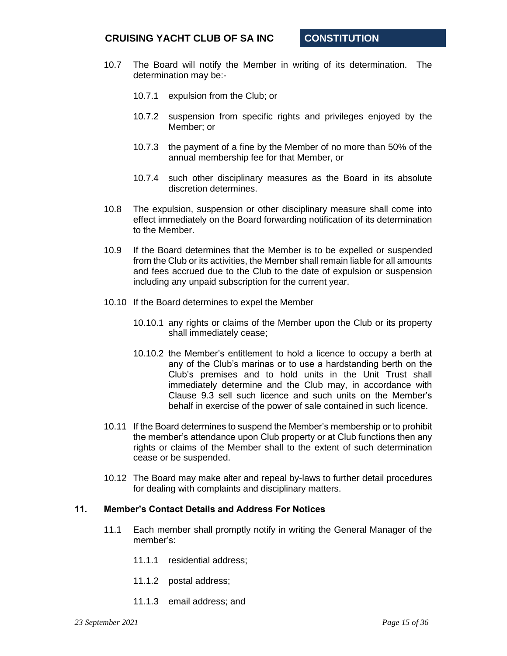- 10.7 The Board will notify the Member in writing of its determination. The determination may be:-
	- 10.7.1 expulsion from the Club; or
	- 10.7.2 suspension from specific rights and privileges enjoyed by the Member; or
	- 10.7.3 the payment of a fine by the Member of no more than 50% of the annual membership fee for that Member, or
	- 10.7.4 such other disciplinary measures as the Board in its absolute discretion determines.
- 10.8 The expulsion, suspension or other disciplinary measure shall come into effect immediately on the Board forwarding notification of its determination to the Member.
- 10.9 If the Board determines that the Member is to be expelled or suspended from the Club or its activities, the Member shall remain liable for all amounts and fees accrued due to the Club to the date of expulsion or suspension including any unpaid subscription for the current year.
- 10.10 If the Board determines to expel the Member
	- 10.10.1 any rights or claims of the Member upon the Club or its property shall immediately cease;
	- 10.10.2 the Member's entitlement to hold a licence to occupy a berth at any of the Club's marinas or to use a hardstanding berth on the Club's premises and to hold units in the Unit Trust shall immediately determine and the Club may, in accordance with Clause [9.3](#page-11-2) sell such licence and such units on the Member's behalf in exercise of the power of sale contained in such licence.
- 10.11 If the Board determines to suspend the Member's membership or to prohibit the member's attendance upon Club property or at Club functions then any rights or claims of the Member shall to the extent of such determination cease or be suspended.
- 10.12 The Board may make alter and repeal by-laws to further detail procedures for dealing with complaints and disciplinary matters.

#### <span id="page-14-0"></span>**11. Member's Contact Details and Address For Notices**

- 11.1 Each member shall promptly notify in writing the General Manager of the member's:
	- 11.1.1 residential address;
	- 11.1.2 postal address;
	- 11.1.3 email address; and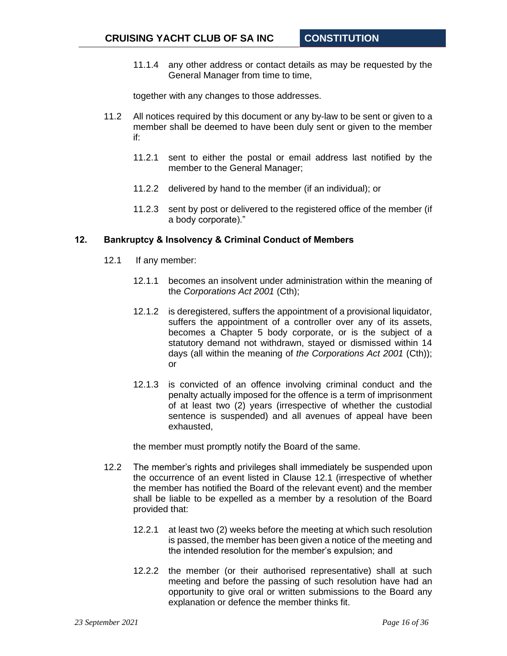11.1.4 any other address or contact details as may be requested by the General Manager from time to time,

together with any changes to those addresses.

- 11.2 All notices required by this document or any by-law to be sent or given to a member shall be deemed to have been duly sent or given to the member if:
	- 11.2.1 sent to either the postal or email address last notified by the member to the General Manager;
	- 11.2.2 delivered by hand to the member (if an individual); or
	- 11.2.3 sent by post or delivered to the registered office of the member (if a body corporate)."

#### <span id="page-15-0"></span>**12. Bankruptcy & Insolvency & Criminal Conduct of Members**

- <span id="page-15-1"></span>12.1 If any member:
	- 12.1.1 becomes an insolvent under administration within the meaning of the *Corporations Act 2001* (Cth);
	- 12.1.2 is deregistered, suffers the appointment of a provisional liquidator, suffers the appointment of a controller over any of its assets, becomes a Chapter 5 body corporate, or is the subject of a statutory demand not withdrawn, stayed or dismissed within 14 days (all within the meaning of *the Corporations Act 2001* (Cth)); or
	- 12.1.3 is convicted of an offence involving criminal conduct and the penalty actually imposed for the offence is a term of imprisonment of at least two (2) years (irrespective of whether the custodial sentence is suspended) and all avenues of appeal have been exhausted,

the member must promptly notify the Board of the same.

- 12.2 The member's rights and privileges shall immediately be suspended upon the occurrence of an event listed in Clause [12.1](#page-15-1) (irrespective of whether the member has notified the Board of the relevant event) and the member shall be liable to be expelled as a member by a resolution of the Board provided that:
	- 12.2.1 at least two (2) weeks before the meeting at which such resolution is passed, the member has been given a notice of the meeting and the intended resolution for the member's expulsion; and
	- 12.2.2 the member (or their authorised representative) shall at such meeting and before the passing of such resolution have had an opportunity to give oral or written submissions to the Board any explanation or defence the member thinks fit.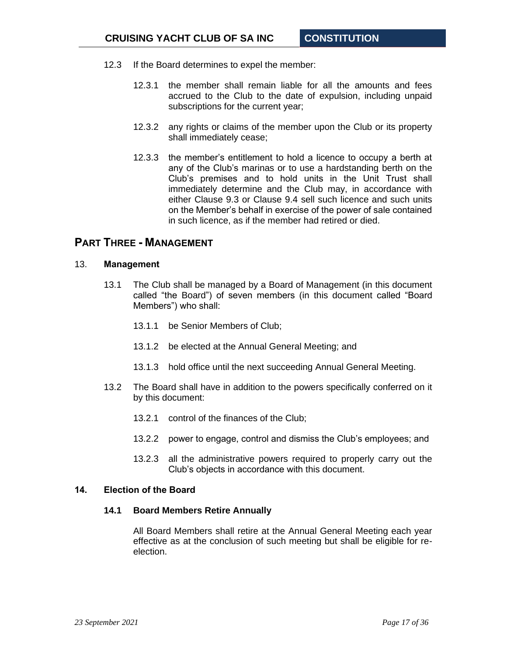- 12.3 If the Board determines to expel the member:
	- 12.3.1 the member shall remain liable for all the amounts and fees accrued to the Club to the date of expulsion, including unpaid subscriptions for the current year;
	- 12.3.2 any rights or claims of the member upon the Club or its property shall immediately cease;
	- 12.3.3 the member's entitlement to hold a licence to occupy a berth at any of the Club's marinas or to use a hardstanding berth on the Club's premises and to hold units in the Unit Trust shall immediately determine and the Club may, in accordance with either Clause [9.3](#page-11-2) or Clause [9.4](#page-11-3) sell such licence and such units on the Member's behalf in exercise of the power of sale contained in such licence, as if the member had retired or died.

# <span id="page-16-0"></span>**PART THREE - MANAGEMENT**

#### <span id="page-16-3"></span><span id="page-16-1"></span>13. **Management**

- 13.1 The Club shall be managed by a Board of Management (in this document called "the Board") of seven members (in this document called "Board Members") who shall:
	- 13.1.1 be Senior Members of Club;
	- 13.1.2 be elected at the Annual General Meeting; and
	- 13.1.3 hold office until the next succeeding Annual General Meeting.
- 13.2 The Board shall have in addition to the powers specifically conferred on it by this document:
	- 13.2.1 control of the finances of the Club;
	- 13.2.2 power to engage, control and dismiss the Club's employees; and
	- 13.2.3 all the administrative powers required to properly carry out the Club's objects in accordance with this document.

#### <span id="page-16-2"></span>**14. Election of the Board**

#### **14.1 Board Members Retire Annually**

All Board Members shall retire at the Annual General Meeting each year effective as at the conclusion of such meeting but shall be eligible for reelection.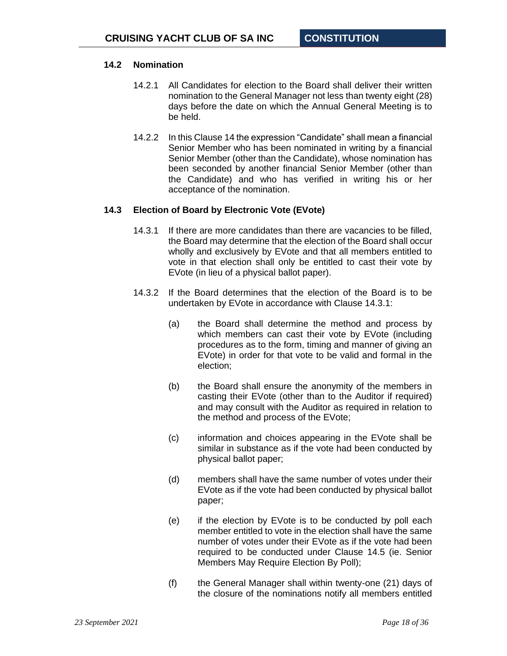## **14.2 Nomination**

- 14.2.1 All Candidates for election to the Board shall deliver their written nomination to the General Manager not less than twenty eight (28) days before the date on which the Annual General Meeting is to be held.
- 14.2.2 In this Clause [14](#page-16-2) the expression "Candidate" shall mean a financial Senior Member who has been nominated in writing by a financial Senior Member (other than the Candidate), whose nomination has been seconded by another financial Senior Member (other than the Candidate) and who has verified in writing his or her acceptance of the nomination.

## <span id="page-17-0"></span>**14.3 Election of Board by Electronic Vote (EVote)**

- 14.3.1 If there are more candidates than there are vacancies to be filled, the Board may determine that the election of the Board shall occur wholly and exclusively by EVote and that all members entitled to vote in that election shall only be entitled to cast their vote by EVote (in lieu of a physical ballot paper).
- <span id="page-17-1"></span>14.3.2 If the Board determines that the election of the Board is to be undertaken by EVote in accordance with Clause [14.3.1:](#page-17-0)
	- (a) the Board shall determine the method and process by which members can cast their vote by EVote (including procedures as to the form, timing and manner of giving an EVote) in order for that vote to be valid and formal in the election;
	- (b) the Board shall ensure the anonymity of the members in casting their EVote (other than to the Auditor if required) and may consult with the Auditor as required in relation to the method and process of the EVote;
	- (c) information and choices appearing in the EVote shall be similar in substance as if the vote had been conducted by physical ballot paper;
	- (d) members shall have the same number of votes under their EVote as if the vote had been conducted by physical ballot paper;
	- (e) if the election by EVote is to be conducted by poll each member entitled to vote in the election shall have the same number of votes under their EVote as if the vote had been required to be conducted under Clause [14.5](#page-19-0) (ie. Senior Members May Require Election By Poll);
	- (f) the General Manager shall within twenty-one (21) days of the closure of the nominations notify all members entitled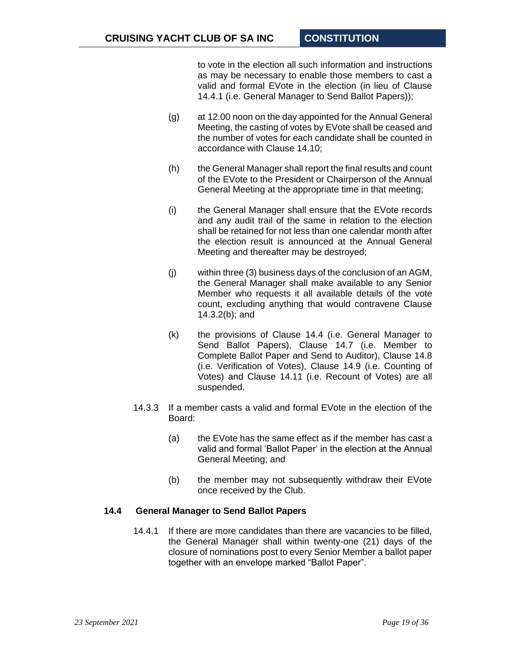to vote in the election all such information and instructions as may be necessary to enable those members to cast a valid and formal EVote in the election (in lieu of Clause [14.4.1](#page-18-0) (i.e. General Manager to Send Ballot Papers));

- (g) at 12.00 noon on the day appointed for the Annual General Meeting, the casting of votes by EVote shall be ceased and the number of votes for each candidate shall be counted in accordance with Clause 14.10;
- (h) the General Manager shall report the final results and count of the EVote to the President or Chairperson of the Annual General Meeting at the appropriate time in that meeting;
- (i) the General Manager shall ensure that the EVote records and any audit trail of the same in relation to the election shall be retained for not less than one calendar month after the election result is announced at the Annual General Meeting and thereafter may be destroyed;
- (j) within three (3) business days of the conclusion of an AGM, the General Manager shall make available to any Senior Member who requests it all available details of the vote count, excluding anything that would contravene Clause [14.3.2\(b\);](#page-17-1) and
- (k) the provisions of Clause [14.4](#page-18-1) (i.e. General Manager to Send Ballot Papers), Clause [14.7](#page-20-0) (i.e. Member to Complete Ballot Paper and Send to Auditor), Clause [14.8](#page-20-1) (i.e. Verification of Votes), Clause [14.9](#page-21-0) (i.e. Counting of Votes) and Clause [14.11](#page-23-1) (i.e. Recount of Votes) are all suspended.
- 14.3.3 If a member casts a valid and formal EVote in the election of the Board:
	- (a) the EVote has the same effect as if the member has cast a valid and formal 'Ballot Paper' in the election at the Annual General Meeting; and
	- (b) the member may not subsequently withdraw their EVote once received by the Club.

## <span id="page-18-0"></span>**14.4 General Manager to Send Ballot Papers**

<span id="page-18-1"></span>14.4.1 If there are more candidates than there are vacancies to be filled, the General Manager shall within twenty-one (21) days of the closure of nominations post to every Senior Member a ballot paper together with an envelope marked "Ballot Paper".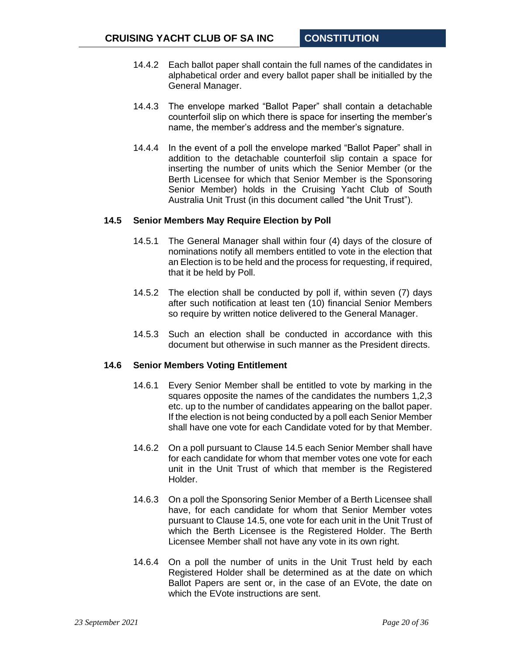- 14.4.2 Each ballot paper shall contain the full names of the candidates in alphabetical order and every ballot paper shall be initialled by the General Manager.
- 14.4.3 The envelope marked "Ballot Paper" shall contain a detachable counterfoil slip on which there is space for inserting the member's name, the member's address and the member's signature.
- 14.4.4 In the event of a poll the envelope marked "Ballot Paper" shall in addition to the detachable counterfoil slip contain a space for inserting the number of units which the Senior Member (or the Berth Licensee for which that Senior Member is the Sponsoring Senior Member) holds in the Cruising Yacht Club of South Australia Unit Trust (in this document called "the Unit Trust").

#### <span id="page-19-0"></span>**14.5 Senior Members May Require Election by Poll**

- 14.5.1 The General Manager shall within four (4) days of the closure of nominations notify all members entitled to vote in the election that an Election is to be held and the process for requesting, if required, that it be held by Poll.
- 14.5.2 The election shall be conducted by poll if, within seven (7) days after such notification at least ten (10) financial Senior Members so require by written notice delivered to the General Manager.
- 14.5.3 Such an election shall be conducted in accordance with this document but otherwise in such manner as the President directs.

#### <span id="page-19-1"></span>**14.6 Senior Members Voting Entitlement**

- 14.6.1 Every Senior Member shall be entitled to vote by marking in the squares opposite the names of the candidates the numbers 1,2,3 etc. up to the number of candidates appearing on the ballot paper. If the election is not being conducted by a poll each Senior Member shall have one vote for each Candidate voted for by that Member.
- 14.6.2 On a poll pursuant to Clause [14.5](#page-19-0) each Senior Member shall have for each candidate for whom that member votes one vote for each unit in the Unit Trust of which that member is the Registered Holder.
- 14.6.3 On a poll the Sponsoring Senior Member of a Berth Licensee shall have, for each candidate for whom that Senior Member votes pursuant to Clause [14.5,](#page-19-0) one vote for each unit in the Unit Trust of which the Berth Licensee is the Registered Holder. The Berth Licensee Member shall not have any vote in its own right.
- 14.6.4 On a poll the number of units in the Unit Trust held by each Registered Holder shall be determined as at the date on which Ballot Papers are sent or, in the case of an EVote, the date on which the EVote instructions are sent.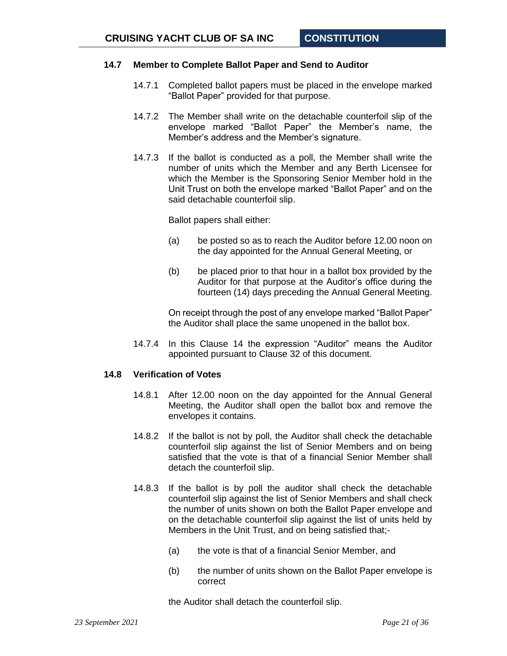## <span id="page-20-0"></span>**14.7 Member to Complete Ballot Paper and Send to Auditor**

- 14.7.1 Completed ballot papers must be placed in the envelope marked "Ballot Paper" provided for that purpose.
- 14.7.2 The Member shall write on the detachable counterfoil slip of the envelope marked "Ballot Paper" the Member's name, the Member's address and the Member's signature.
- 14.7.3 If the ballot is conducted as a poll, the Member shall write the number of units which the Member and any Berth Licensee for which the Member is the Sponsoring Senior Member hold in the Unit Trust on both the envelope marked "Ballot Paper" and on the said detachable counterfoil slip.

Ballot papers shall either:

- (a) be posted so as to reach the Auditor before 12.00 noon on the day appointed for the Annual General Meeting, or
- (b) be placed prior to that hour in a ballot box provided by the Auditor for that purpose at the Auditor's office during the fourteen (14) days preceding the Annual General Meeting.

On receipt through the post of any envelope marked "Ballot Paper" the Auditor shall place the same unopened in the ballot box.

14.7.4 In this Clause [14](#page-16-2) the expression "Auditor" means the Auditor appointed pursuant to Clause [32](#page-31-2) of this document.

#### <span id="page-20-1"></span>**14.8 Verification of Votes**

- 14.8.1 After 12.00 noon on the day appointed for the Annual General Meeting, the Auditor shall open the ballot box and remove the envelopes it contains.
- 14.8.2 If the ballot is not by poll, the Auditor shall check the detachable counterfoil slip against the list of Senior Members and on being satisfied that the vote is that of a financial Senior Member shall detach the counterfoil slip.
- 14.8.3 If the ballot is by poll the auditor shall check the detachable counterfoil slip against the list of Senior Members and shall check the number of units shown on both the Ballot Paper envelope and on the detachable counterfoil slip against the list of units held by Members in the Unit Trust, and on being satisfied that;-
	- (a) the vote is that of a financial Senior Member, and
	- (b) the number of units shown on the Ballot Paper envelope is correct

the Auditor shall detach the counterfoil slip.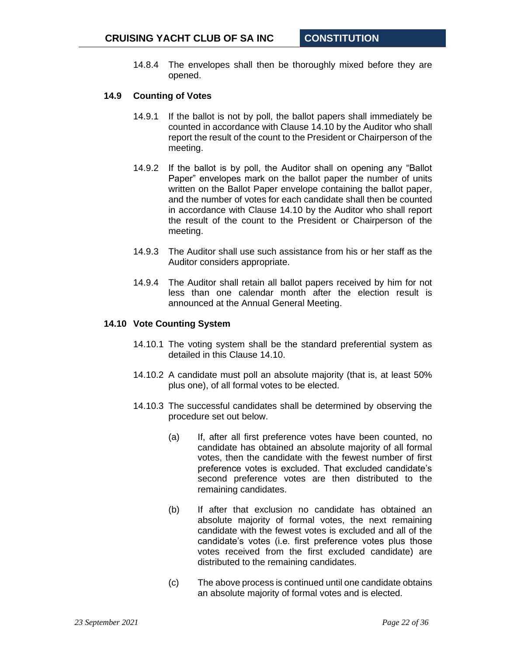14.8.4 The envelopes shall then be thoroughly mixed before they are opened.

#### <span id="page-21-0"></span>**14.9 Counting of Votes**

- 14.9.1 If the ballot is not by poll, the ballot papers shall immediately be counted in accordance with Clause 14.10 by the Auditor who shall report the result of the count to the President or Chairperson of the meeting.
- 14.9.2 If the ballot is by poll, the Auditor shall on opening any "Ballot Paper" envelopes mark on the ballot paper the number of units written on the Ballot Paper envelope containing the ballot paper, and the number of votes for each candidate shall then be counted in accordance with Clause 14.10 by the Auditor who shall report the result of the count to the President or Chairperson of the meeting.
- 14.9.3 The Auditor shall use such assistance from his or her staff as the Auditor considers appropriate.
- 14.9.4 The Auditor shall retain all ballot papers received by him for not less than one calendar month after the election result is announced at the Annual General Meeting.

#### **14.10 Vote Counting System**

- 14.10.1 The voting system shall be the standard preferential system as detailed in this Clause 14.10.
- 14.10.2 A candidate must poll an absolute majority (that is, at least 50% plus one), of all formal votes to be elected.
- <span id="page-21-1"></span>14.10.3 The successful candidates shall be determined by observing the procedure set out below.
	- (a) If, after all first preference votes have been counted, no candidate has obtained an absolute majority of all formal votes, then the candidate with the fewest number of first preference votes is excluded. That excluded candidate's second preference votes are then distributed to the remaining candidates.
	- (b) If after that exclusion no candidate has obtained an absolute majority of formal votes, the next remaining candidate with the fewest votes is excluded and all of the candidate's votes (i.e. first preference votes plus those votes received from the first excluded candidate) are distributed to the remaining candidates.
	- (c) The above process is continued until one candidate obtains an absolute majority of formal votes and is elected.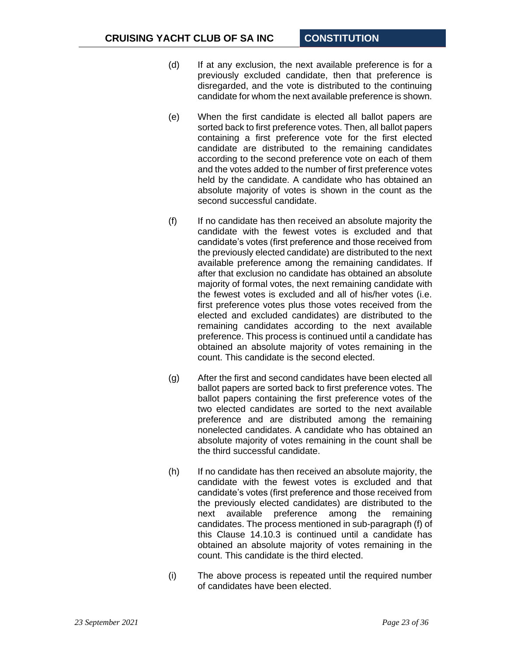- (d) If at any exclusion, the next available preference is for a previously excluded candidate, then that preference is disregarded, and the vote is distributed to the continuing candidate for whom the next available preference is shown.
- (e) When the first candidate is elected all ballot papers are sorted back to first preference votes. Then, all ballot papers containing a first preference vote for the first elected candidate are distributed to the remaining candidates according to the second preference vote on each of them and the votes added to the number of first preference votes held by the candidate. A candidate who has obtained an absolute majority of votes is shown in the count as the second successful candidate.
- (f) If no candidate has then received an absolute majority the candidate with the fewest votes is excluded and that candidate's votes (first preference and those received from the previously elected candidate) are distributed to the next available preference among the remaining candidates. If after that exclusion no candidate has obtained an absolute majority of formal votes, the next remaining candidate with the fewest votes is excluded and all of his/her votes (i.e. first preference votes plus those votes received from the elected and excluded candidates) are distributed to the remaining candidates according to the next available preference. This process is continued until a candidate has obtained an absolute majority of votes remaining in the count. This candidate is the second elected.
- (g) After the first and second candidates have been elected all ballot papers are sorted back to first preference votes. The ballot papers containing the first preference votes of the two elected candidates are sorted to the next available preference and are distributed among the remaining nonelected candidates. A candidate who has obtained an absolute majority of votes remaining in the count shall be the third successful candidate.
- (h) If no candidate has then received an absolute majority, the candidate with the fewest votes is excluded and that candidate's votes (first preference and those received from the previously elected candidates) are distributed to the next available preference among the remaining candidates. The process mentioned in sub-paragraph (f) of this Clause [14.10.3](#page-21-1) is continued until a candidate has obtained an absolute majority of votes remaining in the count. This candidate is the third elected.
- (i) The above process is repeated until the required number of candidates have been elected.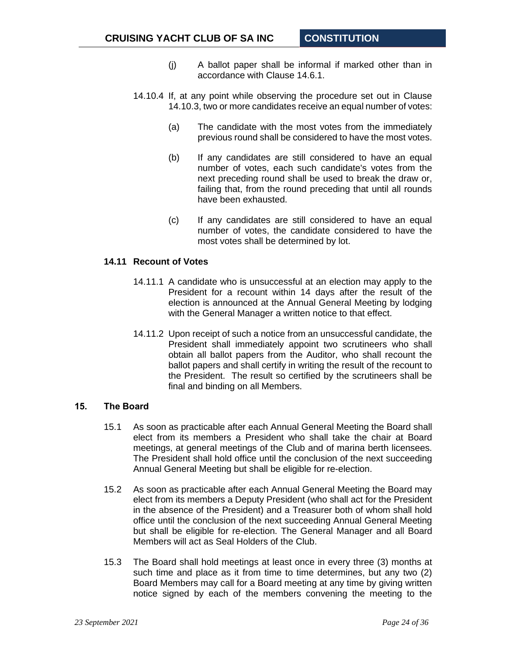- (j) A ballot paper shall be informal if marked other than in accordance with Clause [14.6.1.](#page-19-1)
- 14.10.4 If, at any point while observing the procedure set out in Clause [14.10.3,](#page-21-1) two or more candidates receive an equal number of votes:
	- (a) The candidate with the most votes from the immediately previous round shall be considered to have the most votes.
	- (b) If any candidates are still considered to have an equal number of votes, each such candidate's votes from the next preceding round shall be used to break the draw or, failing that, from the round preceding that until all rounds have been exhausted.
	- (c) If any candidates are still considered to have an equal number of votes, the candidate considered to have the most votes shall be determined by lot.

## <span id="page-23-1"></span>**14.11 Recount of Votes**

- 14.11.1 A candidate who is unsuccessful at an election may apply to the President for a recount within 14 days after the result of the election is announced at the Annual General Meeting by lodging with the General Manager a written notice to that effect.
- 14.11.2 Upon receipt of such a notice from an unsuccessful candidate, the President shall immediately appoint two scrutineers who shall obtain all ballot papers from the Auditor, who shall recount the ballot papers and shall certify in writing the result of the recount to the President. The result so certified by the scrutineers shall be final and binding on all Members.

#### <span id="page-23-0"></span>**15. The Board**

- 15.1 As soon as practicable after each Annual General Meeting the Board shall elect from its members a President who shall take the chair at Board meetings, at general meetings of the Club and of marina berth licensees. The President shall hold office until the conclusion of the next succeeding Annual General Meeting but shall be eligible for re-election.
- 15.2 As soon as practicable after each Annual General Meeting the Board may elect from its members a Deputy President (who shall act for the President in the absence of the President) and a Treasurer both of whom shall hold office until the conclusion of the next succeeding Annual General Meeting but shall be eligible for re-election. The General Manager and all Board Members will act as Seal Holders of the Club.
- 15.3 The Board shall hold meetings at least once in every three (3) months at such time and place as it from time to time determines, but any two (2) Board Members may call for a Board meeting at any time by giving written notice signed by each of the members convening the meeting to the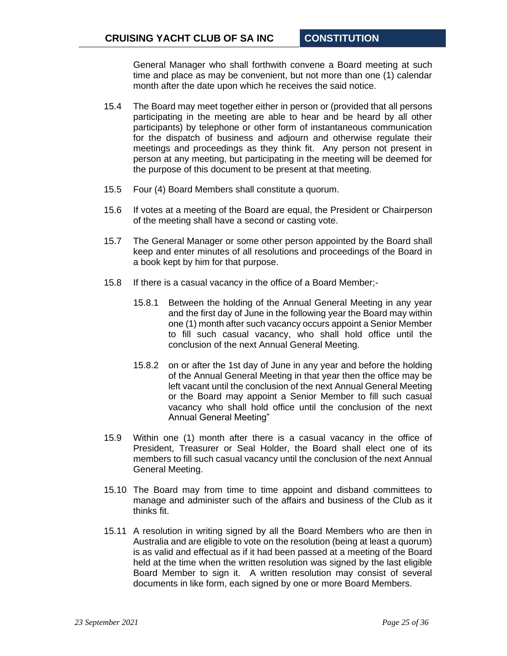General Manager who shall forthwith convene a Board meeting at such time and place as may be convenient, but not more than one (1) calendar month after the date upon which he receives the said notice.

- 15.4 The Board may meet together either in person or (provided that all persons participating in the meeting are able to hear and be heard by all other participants) by telephone or other form of instantaneous communication for the dispatch of business and adjourn and otherwise regulate their meetings and proceedings as they think fit. Any person not present in person at any meeting, but participating in the meeting will be deemed for the purpose of this document to be present at that meeting.
- 15.5 Four (4) Board Members shall constitute a quorum.
- 15.6 If votes at a meeting of the Board are equal, the President or Chairperson of the meeting shall have a second or casting vote.
- 15.7 The General Manager or some other person appointed by the Board shall keep and enter minutes of all resolutions and proceedings of the Board in a book kept by him for that purpose.
- 15.8 If there is a casual vacancy in the office of a Board Member;-
	- 15.8.1 Between the holding of the Annual General Meeting in any year and the first day of June in the following year the Board may within one (1) month after such vacancy occurs appoint a Senior Member to fill such casual vacancy, who shall hold office until the conclusion of the next Annual General Meeting.
	- 15.8.2 on or after the 1st day of June in any year and before the holding of the Annual General Meeting in that year then the office may be left vacant until the conclusion of the next Annual General Meeting or the Board may appoint a Senior Member to fill such casual vacancy who shall hold office until the conclusion of the next Annual General Meeting"
- 15.9 Within one (1) month after there is a casual vacancy in the office of President, Treasurer or Seal Holder, the Board shall elect one of its members to fill such casual vacancy until the conclusion of the next Annual General Meeting.
- 15.10 The Board may from time to time appoint and disband committees to manage and administer such of the affairs and business of the Club as it thinks fit.
- 15.11 A resolution in writing signed by all the Board Members who are then in Australia and are eligible to vote on the resolution (being at least a quorum) is as valid and effectual as if it had been passed at a meeting of the Board held at the time when the written resolution was signed by the last eligible Board Member to sign it. A written resolution may consist of several documents in like form, each signed by one or more Board Members.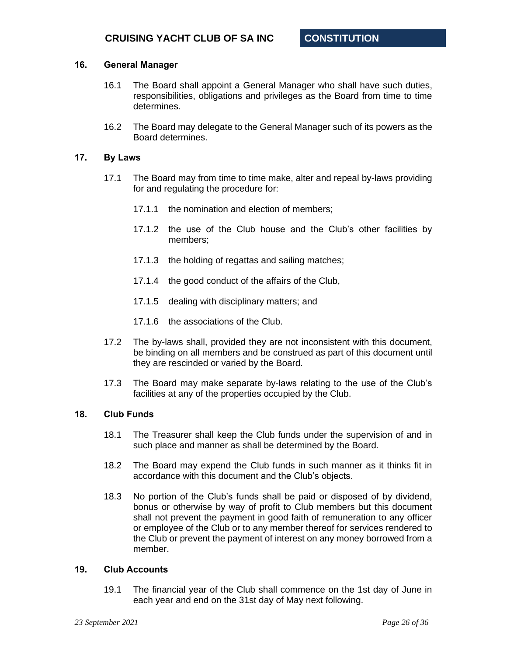## <span id="page-25-0"></span>**16. General Manager**

- 16.1 The Board shall appoint a General Manager who shall have such duties, responsibilities, obligations and privileges as the Board from time to time determines.
- 16.2 The Board may delegate to the General Manager such of its powers as the Board determines.

#### <span id="page-25-1"></span>**17. By Laws**

- 17.1 The Board may from time to time make, alter and repeal by-laws providing for and regulating the procedure for:
	- 17.1.1 the nomination and election of members;
	- 17.1.2 the use of the Club house and the Club's other facilities by members;
	- 17.1.3 the holding of regattas and sailing matches;
	- 17.1.4 the good conduct of the affairs of the Club,
	- 17.1.5 dealing with disciplinary matters; and
	- 17.1.6 the associations of the Club.
- 17.2 The by-laws shall, provided they are not inconsistent with this document, be binding on all members and be construed as part of this document until they are rescinded or varied by the Board.
- 17.3 The Board may make separate by-laws relating to the use of the Club's facilities at any of the properties occupied by the Club.

#### <span id="page-25-2"></span>**18. Club Funds**

- 18.1 The Treasurer shall keep the Club funds under the supervision of and in such place and manner as shall be determined by the Board.
- 18.2 The Board may expend the Club funds in such manner as it thinks fit in accordance with this document and the Club's objects.
- 18.3 No portion of the Club's funds shall be paid or disposed of by dividend, bonus or otherwise by way of profit to Club members but this document shall not prevent the payment in good faith of remuneration to any officer or employee of the Club or to any member thereof for services rendered to the Club or prevent the payment of interest on any money borrowed from a member.

## <span id="page-25-3"></span>**19. Club Accounts**

19.1 The financial year of the Club shall commence on the 1st day of June in each year and end on the 31st day of May next following.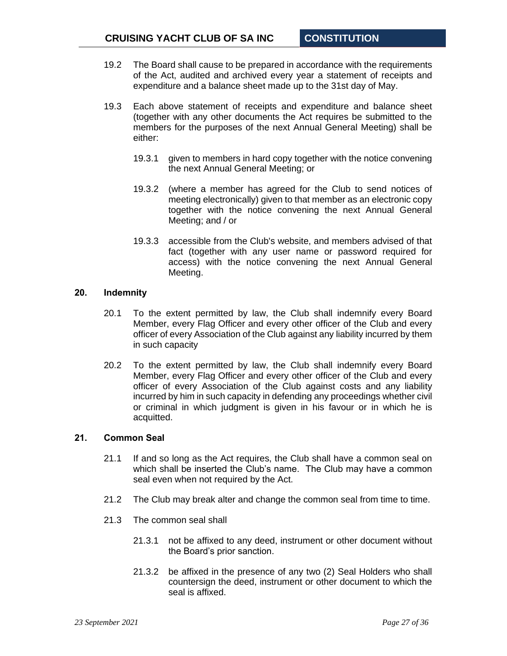- 19.2 The Board shall cause to be prepared in accordance with the requirements of the Act, audited and archived every year a statement of receipts and expenditure and a balance sheet made up to the 31st day of May.
- 19.3 Each above statement of receipts and expenditure and balance sheet (together with any other documents the Act requires be submitted to the members for the purposes of the next Annual General Meeting) shall be either:
	- 19.3.1 given to members in hard copy together with the notice convening the next Annual General Meeting; or
	- 19.3.2 (where a member has agreed for the Club to send notices of meeting electronically) given to that member as an electronic copy together with the notice convening the next Annual General Meeting; and / or
	- 19.3.3 accessible from the Club's website, and members advised of that fact (together with any user name or password required for access) with the notice convening the next Annual General Meeting.

#### <span id="page-26-0"></span>**20. Indemnity**

- 20.1 To the extent permitted by law, the Club shall indemnify every Board Member, every Flag Officer and every other officer of the Club and every officer of every Association of the Club against any liability incurred by them in such capacity
- 20.2 To the extent permitted by law, the Club shall indemnify every Board Member, every Flag Officer and every other officer of the Club and every officer of every Association of the Club against costs and any liability incurred by him in such capacity in defending any proceedings whether civil or criminal in which judgment is given in his favour or in which he is acquitted.

## <span id="page-26-1"></span>**21. Common Seal**

- 21.1 If and so long as the Act requires, the Club shall have a common seal on which shall be inserted the Club's name. The Club may have a common seal even when not required by the Act.
- 21.2 The Club may break alter and change the common seal from time to time.
- 21.3 The common seal shall
	- 21.3.1 not be affixed to any deed, instrument or other document without the Board's prior sanction.
	- 21.3.2 be affixed in the presence of any two (2) Seal Holders who shall countersign the deed, instrument or other document to which the seal is affixed.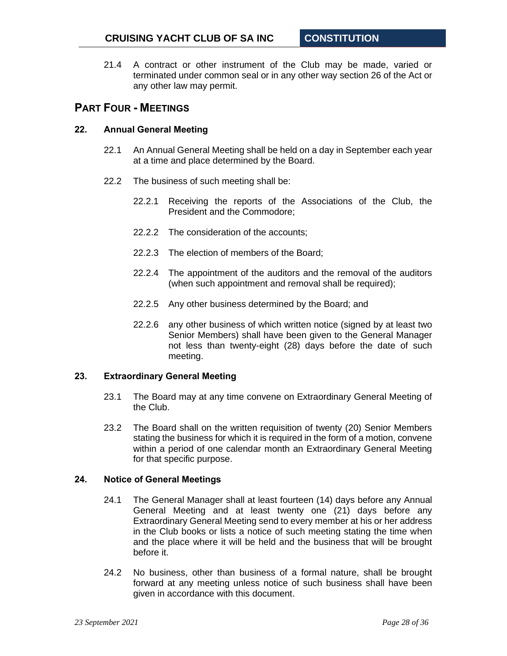21.4 A contract or other instrument of the Club may be made, varied or terminated under common seal or in any other way section 26 of the Act or any other law may permit.

# <span id="page-27-0"></span>**PART FOUR - MEETINGS**

## <span id="page-27-1"></span>**22. Annual General Meeting**

- 22.1 An Annual General Meeting shall be held on a day in September each year at a time and place determined by the Board.
- 22.2 The business of such meeting shall be:
	- 22.2.1 Receiving the reports of the Associations of the Club, the President and the Commodore;
	- 22.2.2 The consideration of the accounts;
	- 22.2.3 The election of members of the Board;
	- 22.2.4 The appointment of the auditors and the removal of the auditors (when such appointment and removal shall be required);
	- 22.2.5 Any other business determined by the Board; and
	- 22.2.6 any other business of which written notice (signed by at least two Senior Members) shall have been given to the General Manager not less than twenty-eight (28) days before the date of such meeting.

#### <span id="page-27-2"></span>**23. Extraordinary General Meeting**

- 23.1 The Board may at any time convene on Extraordinary General Meeting of the Club.
- 23.2 The Board shall on the written requisition of twenty (20) Senior Members stating the business for which it is required in the form of a motion, convene within a period of one calendar month an Extraordinary General Meeting for that specific purpose.

#### <span id="page-27-3"></span>**24. Notice of General Meetings**

- 24.1 The General Manager shall at least fourteen (14) days before any Annual General Meeting and at least twenty one (21) days before any Extraordinary General Meeting send to every member at his or her address in the Club books or lists a notice of such meeting stating the time when and the place where it will be held and the business that will be brought before it.
- 24.2 No business, other than business of a formal nature, shall be brought forward at any meeting unless notice of such business shall have been given in accordance with this document.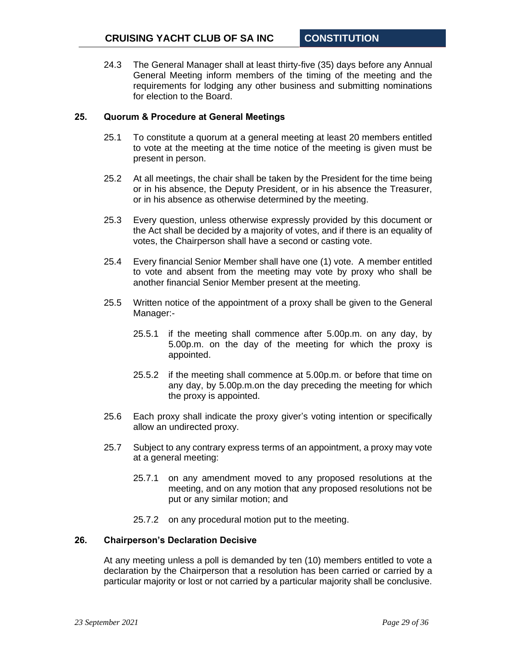24.3 The General Manager shall at least thirty-five (35) days before any Annual General Meeting inform members of the timing of the meeting and the requirements for lodging any other business and submitting nominations for election to the Board.

#### <span id="page-28-0"></span>**25. Quorum & Procedure at General Meetings**

- 25.1 To constitute a quorum at a general meeting at least 20 members entitled to vote at the meeting at the time notice of the meeting is given must be present in person.
- 25.2 At all meetings, the chair shall be taken by the President for the time being or in his absence, the Deputy President, or in his absence the Treasurer, or in his absence as otherwise determined by the meeting.
- 25.3 Every question, unless otherwise expressly provided by this document or the Act shall be decided by a majority of votes, and if there is an equality of votes, the Chairperson shall have a second or casting vote.
- 25.4 Every financial Senior Member shall have one (1) vote. A member entitled to vote and absent from the meeting may vote by proxy who shall be another financial Senior Member present at the meeting.
- 25.5 Written notice of the appointment of a proxy shall be given to the General Manager:-
	- 25.5.1 if the meeting shall commence after 5.00p.m. on any day, by 5.00p.m. on the day of the meeting for which the proxy is appointed.
	- 25.5.2 if the meeting shall commence at 5.00p.m. or before that time on any day, by 5.00p.m.on the day preceding the meeting for which the proxy is appointed.
- 25.6 Each proxy shall indicate the proxy giver's voting intention or specifically allow an undirected proxy.
- 25.7 Subject to any contrary express terms of an appointment, a proxy may vote at a general meeting:
	- 25.7.1 on any amendment moved to any proposed resolutions at the meeting, and on any motion that any proposed resolutions not be put or any similar motion; and
	- 25.7.2 on any procedural motion put to the meeting.

#### <span id="page-28-1"></span>**26. Chairperson's Declaration Decisive**

At any meeting unless a poll is demanded by ten (10) members entitled to vote a declaration by the Chairperson that a resolution has been carried or carried by a particular majority or lost or not carried by a particular majority shall be conclusive.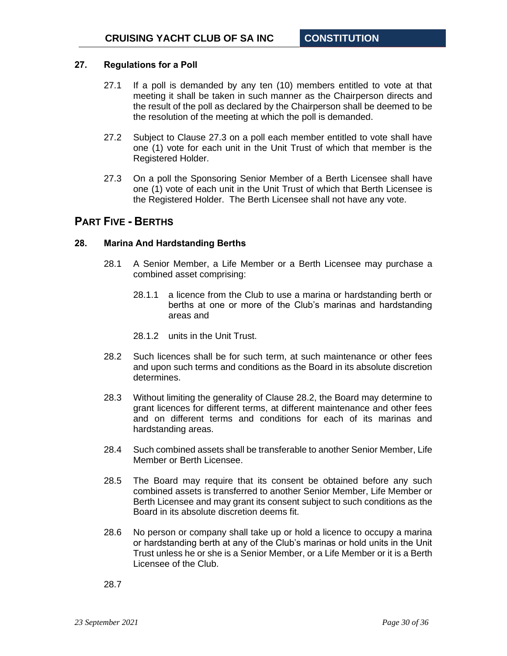## <span id="page-29-0"></span>**27. Regulations for a Poll**

- 27.1 If a poll is demanded by any ten (10) members entitled to vote at that meeting it shall be taken in such manner as the Chairperson directs and the result of the poll as declared by the Chairperson shall be deemed to be the resolution of the meeting at which the poll is demanded.
- 27.2 Subject to Clause [27.3](#page-29-3) on a poll each member entitled to vote shall have one (1) vote for each unit in the Unit Trust of which that member is the Registered Holder.
- <span id="page-29-3"></span>27.3 On a poll the Sponsoring Senior Member of a Berth Licensee shall have one (1) vote of each unit in the Unit Trust of which that Berth Licensee is the Registered Holder. The Berth Licensee shall not have any vote.

# <span id="page-29-1"></span>**PART FIVE - BERTHS**

## <span id="page-29-2"></span>**28. Marina And Hardstanding Berths**

- 28.1 A Senior Member, a Life Member or a Berth Licensee may purchase a combined asset comprising:
	- 28.1.1 a licence from the Club to use a marina or hardstanding berth or berths at one or more of the Club's marinas and hardstanding areas and
	- 28.1.2 units in the Unit Trust.
- <span id="page-29-4"></span>28.2 Such licences shall be for such term, at such maintenance or other fees and upon such terms and conditions as the Board in its absolute discretion determines.
- 28.3 Without limiting the generality of Clause [28.2,](#page-29-4) the Board may determine to grant licences for different terms, at different maintenance and other fees and on different terms and conditions for each of its marinas and hardstanding areas.
- 28.4 Such combined assets shall be transferable to another Senior Member, Life Member or Berth Licensee.
- 28.5 The Board may require that its consent be obtained before any such combined assets is transferred to another Senior Member, Life Member or Berth Licensee and may grant its consent subject to such conditions as the Board in its absolute discretion deems fit.
- 28.6 No person or company shall take up or hold a licence to occupy a marina or hardstanding berth at any of the Club's marinas or hold units in the Unit Trust unless he or she is a Senior Member, or a Life Member or it is a Berth Licensee of the Club.

28.7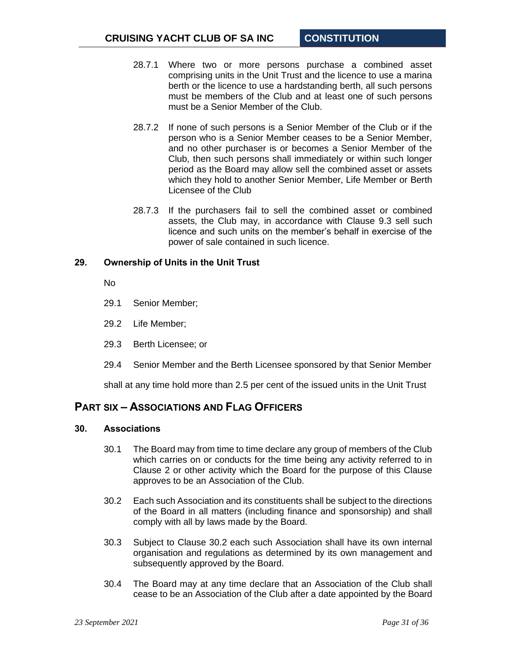- 28.7.1 Where two or more persons purchase a combined asset comprising units in the Unit Trust and the licence to use a marina berth or the licence to use a hardstanding berth, all such persons must be members of the Club and at least one of such persons must be a Senior Member of the Club.
- 28.7.2 If none of such persons is a Senior Member of the Club or if the person who is a Senior Member ceases to be a Senior Member, and no other purchaser is or becomes a Senior Member of the Club, then such persons shall immediately or within such longer period as the Board may allow sell the combined asset or assets which they hold to another Senior Member, Life Member or Berth Licensee of the Club
- 28.7.3 If the purchasers fail to sell the combined asset or combined assets, the Club may, in accordance with Clause [9.3](#page-11-2) sell such licence and such units on the member's behalf in exercise of the power of sale contained in such licence.

## <span id="page-30-0"></span>**29. Ownership of Units in the Unit Trust**

No

- 29.1 Senior Member;
- 29.2 Life Member;
- 29.3 Berth Licensee; or
- 29.4 Senior Member and the Berth Licensee sponsored by that Senior Member

shall at any time hold more than 2.5 per cent of the issued units in the Unit Trust

# <span id="page-30-1"></span>**PART SIX – ASSOCIATIONS AND FLAG OFFICERS**

## <span id="page-30-2"></span>**30. Associations**

- 30.1 The Board may from time to time declare any group of members of the Club which carries on or conducts for the time being any activity referred to in Clause [2](#page-3-2) or other activity which the Board for the purpose of this Clause approves to be an Association of the Club.
- <span id="page-30-3"></span>30.2 Each such Association and its constituents shall be subject to the directions of the Board in all matters (including finance and sponsorship) and shall comply with all by laws made by the Board.
- 30.3 Subject to Clause [30.2](#page-30-3) each such Association shall have its own internal organisation and regulations as determined by its own management and subsequently approved by the Board.
- 30.4 The Board may at any time declare that an Association of the Club shall cease to be an Association of the Club after a date appointed by the Board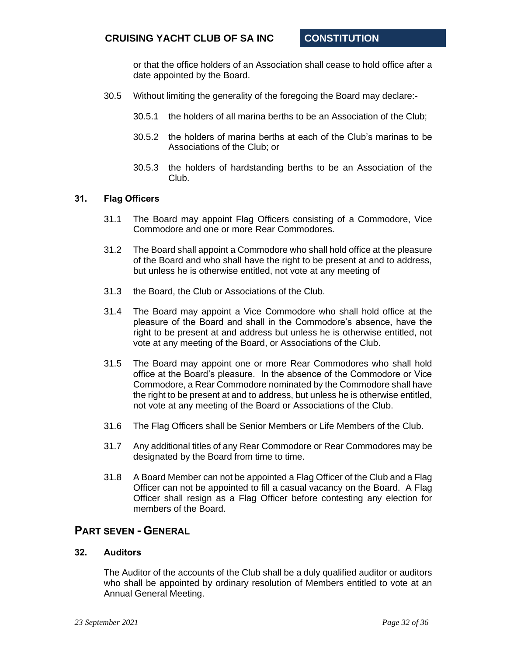or that the office holders of an Association shall cease to hold office after a date appointed by the Board.

- 30.5 Without limiting the generality of the foregoing the Board may declare:-
	- 30.5.1 the holders of all marina berths to be an Association of the Club;
	- 30.5.2 the holders of marina berths at each of the Club's marinas to be Associations of the Club; or
	- 30.5.3 the holders of hardstanding berths to be an Association of the Club.

#### <span id="page-31-0"></span>**31. Flag Officers**

- 31.1 The Board may appoint Flag Officers consisting of a Commodore, Vice Commodore and one or more Rear Commodores.
- 31.2 The Board shall appoint a Commodore who shall hold office at the pleasure of the Board and who shall have the right to be present at and to address, but unless he is otherwise entitled, not vote at any meeting of
- 31.3 the Board, the Club or Associations of the Club.
- 31.4 The Board may appoint a Vice Commodore who shall hold office at the pleasure of the Board and shall in the Commodore's absence, have the right to be present at and address but unless he is otherwise entitled, not vote at any meeting of the Board, or Associations of the Club.
- 31.5 The Board may appoint one or more Rear Commodores who shall hold office at the Board's pleasure. In the absence of the Commodore or Vice Commodore, a Rear Commodore nominated by the Commodore shall have the right to be present at and to address, but unless he is otherwise entitled, not vote at any meeting of the Board or Associations of the Club.
- 31.6 The Flag Officers shall be Senior Members or Life Members of the Club.
- 31.7 Any additional titles of any Rear Commodore or Rear Commodores may be designated by the Board from time to time.
- 31.8 A Board Member can not be appointed a Flag Officer of the Club and a Flag Officer can not be appointed to fill a casual vacancy on the Board. A Flag Officer shall resign as a Flag Officer before contesting any election for members of the Board.

# <span id="page-31-1"></span>**PART SEVEN - GENERAL**

## <span id="page-31-2"></span>**32. Auditors**

The Auditor of the accounts of the Club shall be a duly qualified auditor or auditors who shall be appointed by ordinary resolution of Members entitled to vote at an Annual General Meeting.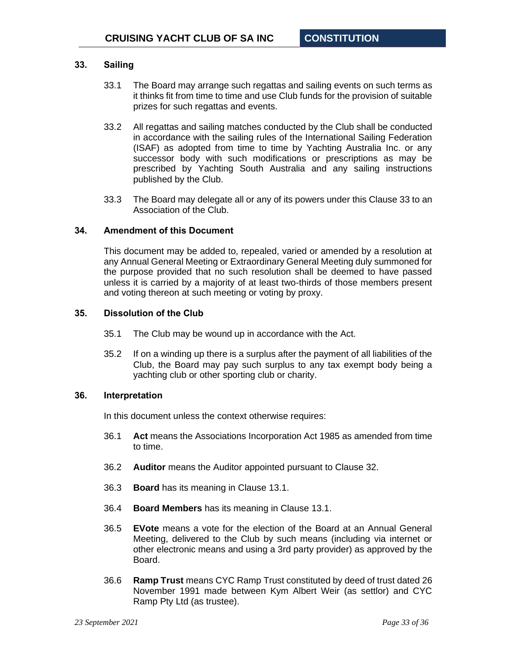## <span id="page-32-0"></span>**33. Sailing**

- 33.1 The Board may arrange such regattas and sailing events on such terms as it thinks fit from time to time and use Club funds for the provision of suitable prizes for such regattas and events.
- 33.2 All regattas and sailing matches conducted by the Club shall be conducted in accordance with the sailing rules of the International Sailing Federation (ISAF) as adopted from time to time by Yachting Australia Inc. or any successor body with such modifications or prescriptions as may be prescribed by Yachting South Australia and any sailing instructions published by the Club.
- 33.3 The Board may delegate all or any of its powers under this Clause [33](#page-32-0) to an Association of the Club.

## <span id="page-32-1"></span>**34. Amendment of this Document**

This document may be added to, repealed, varied or amended by a resolution at any Annual General Meeting or Extraordinary General Meeting duly summoned for the purpose provided that no such resolution shall be deemed to have passed unless it is carried by a majority of at least two-thirds of those members present and voting thereon at such meeting or voting by proxy.

#### <span id="page-32-2"></span>**35. Dissolution of the Club**

- 35.1 The Club may be wound up in accordance with the Act.
- 35.2 If on a winding up there is a surplus after the payment of all liabilities of the Club, the Board may pay such surplus to any tax exempt body being a yachting club or other sporting club or charity.

#### <span id="page-32-3"></span>**36. Interpretation**

In this document unless the context otherwise requires:

- 36.1 **Act** means the Associations Incorporation Act 1985 as amended from time to time.
- 36.2 **Auditor** means the Auditor appointed pursuant to Clause [32.](#page-31-2)
- 36.3 **Board** has its meaning in Clause [13.1.](#page-16-3)
- 36.4 **Board Members** has its meaning in Clause [13.1.](#page-16-3)
- 36.5 **EVote** means a vote for the election of the Board at an Annual General Meeting, delivered to the Club by such means (including via internet or other electronic means and using a 3rd party provider) as approved by the Board.
- 36.6 **Ramp Trust** means CYC Ramp Trust constituted by deed of trust dated 26 November 1991 made between Kym Albert Weir (as settlor) and CYC Ramp Pty Ltd (as trustee).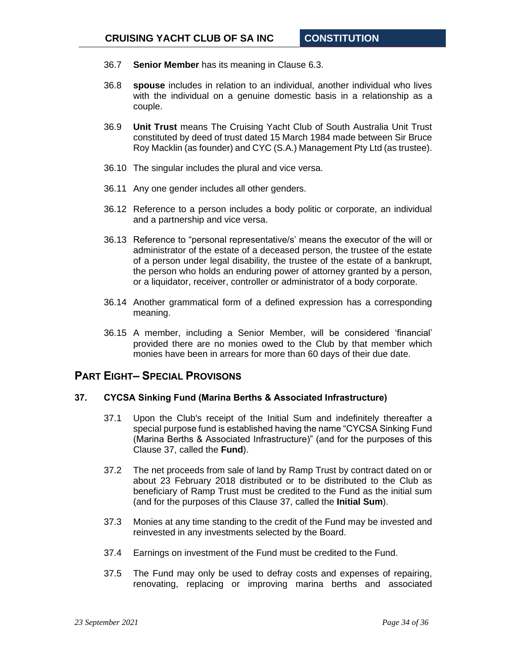- 36.7 **Senior Member** has its meaning in Clause [6.3.](#page-6-1)
- 36.8 **spouse** includes in relation to an individual, another individual who lives with the individual on a genuine domestic basis in a relationship as a couple.
- 36.9 **Unit Trust** means The Cruising Yacht Club of South Australia Unit Trust constituted by deed of trust dated 15 March 1984 made between Sir Bruce Roy Macklin (as founder) and CYC (S.A.) Management Pty Ltd (as trustee).
- 36.10 The singular includes the plural and vice versa.
- 36.11 Any one gender includes all other genders.
- 36.12 Reference to a person includes a body politic or corporate, an individual and a partnership and vice versa.
- 36.13 Reference to "personal representative/s' means the executor of the will or administrator of the estate of a deceased person, the trustee of the estate of a person under legal disability, the trustee of the estate of a bankrupt, the person who holds an enduring power of attorney granted by a person, or a liquidator, receiver, controller or administrator of a body corporate.
- 36.14 Another grammatical form of a defined expression has a corresponding meaning.
- 36.15 A member, including a Senior Member, will be considered 'financial' provided there are no monies owed to the Club by that member which monies have been in arrears for more than 60 days of their due date.

# <span id="page-33-0"></span>**PART EIGHT– SPECIAL PROVISONS**

## <span id="page-33-1"></span>**37. CYCSA Sinking Fund (Marina Berths & Associated Infrastructure)**

- 37.1 Upon the Club's receipt of the Initial Sum and indefinitely thereafter a special purpose fund is established having the name "CYCSA Sinking Fund (Marina Berths & Associated Infrastructure)" (and for the purposes of this Clause [37,](#page-33-1) called the **Fund**).
- 37.2 The net proceeds from sale of land by Ramp Trust by contract dated on or about 23 February 2018 distributed or to be distributed to the Club as beneficiary of Ramp Trust must be credited to the Fund as the initial sum (and for the purposes of this Clause [37,](#page-33-1) called the **Initial Sum**).
- 37.3 Monies at any time standing to the credit of the Fund may be invested and reinvested in any investments selected by the Board.
- 37.4 Earnings on investment of the Fund must be credited to the Fund.
- 37.5 The Fund may only be used to defray costs and expenses of repairing, renovating, replacing or improving marina berths and associated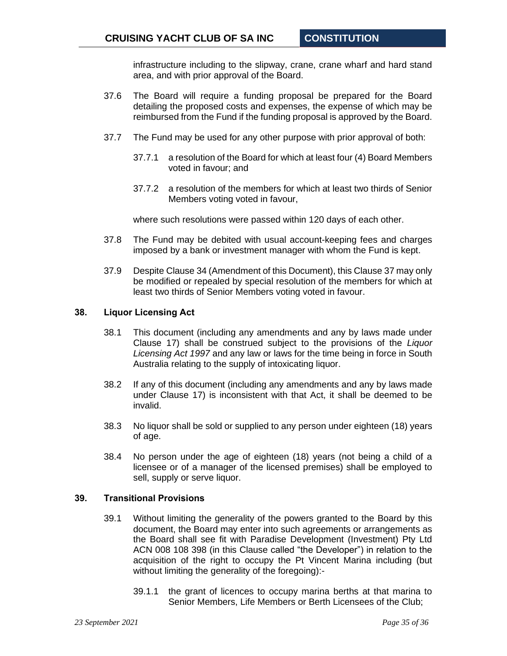infrastructure including to the slipway, crane, crane wharf and hard stand area, and with prior approval of the Board.

- 37.6 The Board will require a funding proposal be prepared for the Board detailing the proposed costs and expenses, the expense of which may be reimbursed from the Fund if the funding proposal is approved by the Board.
- 37.7 The Fund may be used for any other purpose with prior approval of both:
	- 37.7.1 a resolution of the Board for which at least four (4) Board Members voted in favour; and
	- 37.7.2 a resolution of the members for which at least two thirds of Senior Members voting voted in favour,

where such resolutions were passed within 120 days of each other.

- 37.8 The Fund may be debited with usual account-keeping fees and charges imposed by a bank or investment manager with whom the Fund is kept.
- 37.9 Despite Clause [34](#page-32-1) (Amendment of this Document), this Clause [37](#page-33-1) may only be modified or repealed by special resolution of the members for which at least two thirds of Senior Members voting voted in favour.

#### <span id="page-34-0"></span>**38. Liquor Licensing Act**

- 38.1 This document (including any amendments and any by laws made under Clause [17\)](#page-25-1) shall be construed subject to the provisions of the *Liquor Licensing Act 1997* and any law or laws for the time being in force in South Australia relating to the supply of intoxicating liquor.
- 38.2 If any of this document (including any amendments and any by laws made under Clause [17\)](#page-25-1) is inconsistent with that Act, it shall be deemed to be invalid.
- 38.3 No liquor shall be sold or supplied to any person under eighteen (18) years of age.
- 38.4 No person under the age of eighteen (18) years (not being a child of a licensee or of a manager of the licensed premises) shall be employed to sell, supply or serve liquor.

## <span id="page-34-1"></span>**39. Transitional Provisions**

- 39.1 Without limiting the generality of the powers granted to the Board by this document, the Board may enter into such agreements or arrangements as the Board shall see fit with Paradise Development (Investment) Pty Ltd ACN 008 108 398 (in this Clause called "the Developer") in relation to the acquisition of the right to occupy the Pt Vincent Marina including (but without limiting the generality of the foregoing):-
	- 39.1.1 the grant of licences to occupy marina berths at that marina to Senior Members, Life Members or Berth Licensees of the Club;